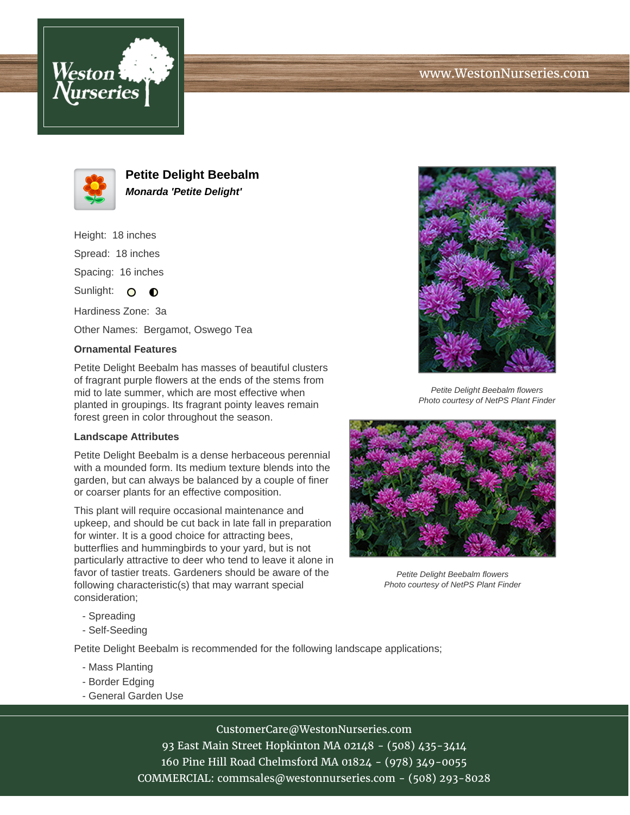



**Petite Delight Beebalm Monarda 'Petite Delight'**

Height: 18 inches Spread: 18 inches Spacing: 16 inches

Sunlight:  $\bullet$   $\bullet$ 

Hardiness Zone: 3a Other Names: Bergamot, Oswego Tea

## **Ornamental Features**

Petite Delight Beebalm has masses of beautiful clusters of fragrant purple flowers at the ends of the stems from mid to late summer, which are most effective when planted in groupings. Its fragrant pointy leaves remain forest green in color throughout the season.

## **Landscape Attributes**

Petite Delight Beebalm is a dense herbaceous perennial with a mounded form. Its medium texture blends into the garden, but can always be balanced by a couple of finer or coarser plants for an effective composition.

This plant will require occasional maintenance and upkeep, and should be cut back in late fall in preparation for winter. It is a good choice for attracting bees, butterflies and hummingbirds to your yard, but is not particularly attractive to deer who tend to leave it alone in favor of tastier treats. Gardeners should be aware of the following characteristic(s) that may warrant special consideration;

Petite Delight Beebalm flowers Photo courtesy of NetPS Plant Finder



Petite Delight Beebalm flowers Photo courtesy of NetPS Plant Finder

- Spreading
- Self-Seeding

Petite Delight Beebalm is recommended for the following landscape applications;

- Mass Planting
- Border Edging
- General Garden Use

CustomerCare@WestonNurseries.com

93 East Main Street Hopkinton MA 02148 - (508) 435-3414 160 Pine Hill Road Chelmsford MA 01824 - (978) 349-0055 COMMERCIAL: commsales@westonnurseries.com - (508) 293-8028